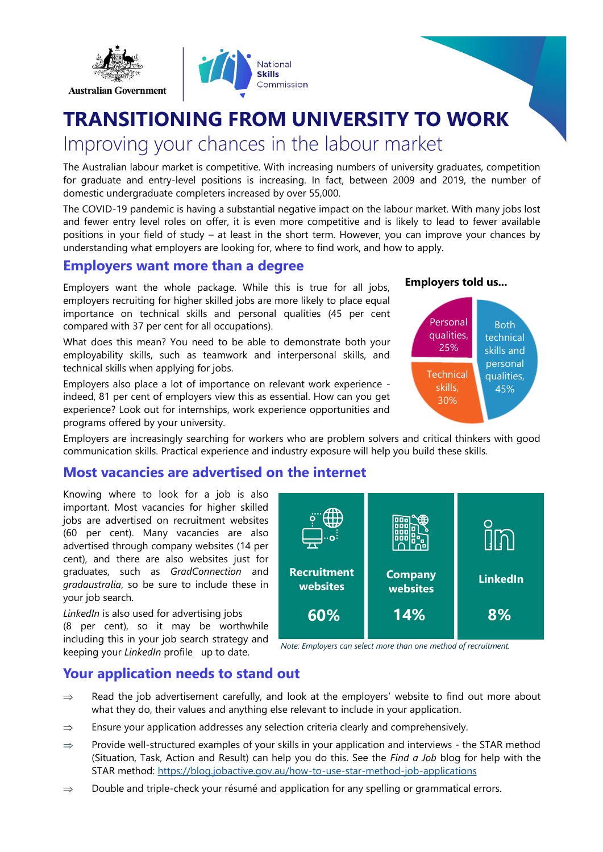



# **TRANSITIONING FROM UNIVERSITY TO WORK**

# Improving your chances in the labour market

The Australian labour market is competitive. With increasing numbers of university graduates, competition for graduate and entry-level positions is increasing. In fact, between 2009 and 2019, the number of domestic undergraduate completers increased by over 55,000.

The COVID-19 pandemic is having a substantial negative impact on the labour market. With many jobs lost and fewer entry level roles on offer, it is even more competitive and is likely to lead to fewer available positions in your field of study – at least in the short term. However, you can improve your chances by understanding what employers are looking for, where to find work, and how to apply.

### **Employers want more than a degree**

Employers want the whole package. While this is true for all jobs, employers recruiting for higher skilled jobs are more likely to place equal importance on technical skills and personal qualities (45 per cent compared with 37 per cent for all occupations).

What does this mean? You need to be able to demonstrate both your employability skills, such as teamwork and interpersonal skills, and technical skills when applying for jobs.

Employers also place a lot of importance on relevant work experience indeed, 81 per cent of employers view this as essential. How can you get experience? Look out for internships, work experience opportunities and programs offered by your university.





Employers are increasingly searching for workers who are problem solvers and critical thinkers with good communication skills. Practical experience and industry exposure will help you build these skills.

## **Most vacancies are advertised on the internet**

Knowing where to look for a job is also important. Most vacancies for higher skilled jobs are advertised on recruitment websites (60 per cent). Many vacancies are also advertised through company websites (14 per cent), and there are also websites just for graduates, such as *GradConnection* and *gradaustralia*, so be sure to include these in your job search.

*LinkedIn* is also used for advertising jobs (8 per cent), so it may be worthwhile including this in your job search strategy and keeping your *LinkedIn* profile up to date.



*Note: Employers can select more than one method of recruitment.*

## **Your application needs to stand out**

- $\Rightarrow$  Read the job advertisement carefully, and look at the employers' website to find out more about what they do, their values and anything else relevant to include in your application.
- $\Rightarrow$  Ensure your application addresses any selection criteria clearly and comprehensively.
- $\Rightarrow$  Provide well-structured examples of your skills in your application and interviews the STAR method (Situation, Task, Action and Result) can help you do this. See the *Find a Job* blog for help with the STAR method: [https://blog.jobactive.gov.au/how](https://blog.jobactive.gov.au/how-to-use-star-method-job-applications)-to-use-star-method-job-applications
- $\Rightarrow$  Double and triple-check your résumé and application for any spelling or grammatical errors.